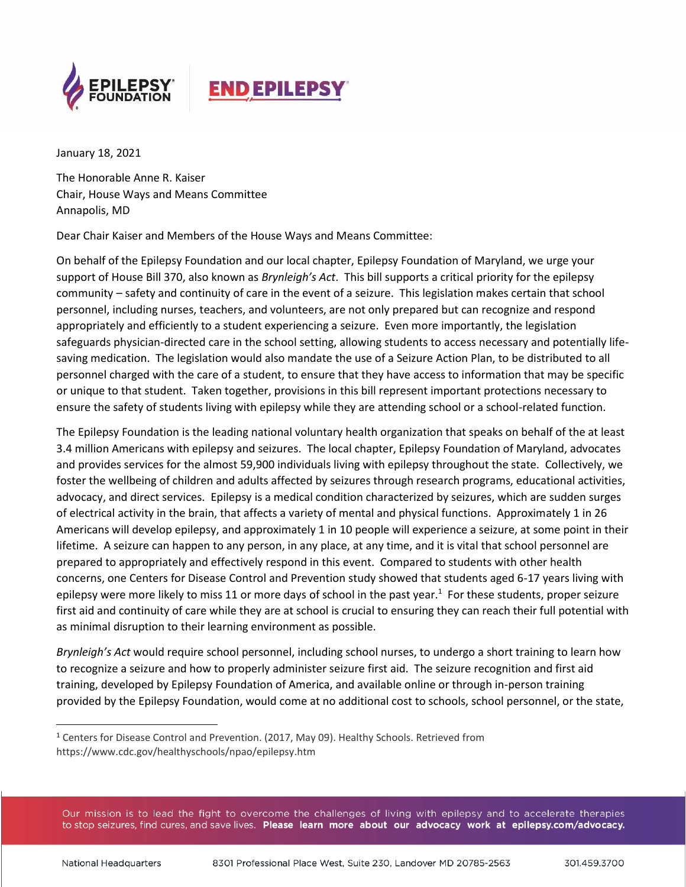

## **END EPILEPSY**

January 18, 2021

The Honorable Anne R. Kaiser Chair, House Ways and Means Committee Annapolis, MD

Dear Chair Kaiser and Members of the House Ways and Means Committee:

On behalf of the Epilepsy Foundation and our local chapter, Epilepsy Foundation of Maryland, we urge your support of House Bill 370, also known as *Brynleigh's Act*. This bill supports a critical priority for the epilepsy community – safety and continuity of care in the event of a seizure. This legislation makes certain that school personnel, including nurses, teachers, and volunteers, are not only prepared but can recognize and respond appropriately and efficiently to a student experiencing a seizure. Even more importantly, the legislation safeguards physician-directed care in the school setting, allowing students to access necessary and potentially lifesaving medication. The legislation would also mandate the use of a Seizure Action Plan, to be distributed to all personnel charged with the care of a student, to ensure that they have access to information that may be specific or unique to that student. Taken together, provisions in this bill represent important protections necessary to ensure the safety of students living with epilepsy while they are attending school or a school-related function.

The Epilepsy Foundation is the leading national voluntary health organization that speaks on behalf of the at least 3.4 million Americans with epilepsy and seizures. The local chapter, Epilepsy Foundation of Maryland, advocates and provides services for the almost 59,900 individuals living with epilepsy throughout the state. Collectively, we foster the wellbeing of children and adults affected by seizures through research programs, educational activities, advocacy, and direct services. Epilepsy is a medical condition characterized by seizures, which are sudden surges of electrical activity in the brain, that affects a variety of mental and physical functions. Approximately 1 in 26 Americans will develop epilepsy, and approximately 1 in 10 people will experience a seizure, at some point in their lifetime. A seizure can happen to any person, in any place, at any time, and it is vital that school personnel are prepared to appropriately and effectively respond in this event. Compared to students with other health concerns, one Centers for Disease Control and Prevention study showed that students aged 6-17 years living with epilepsy were more likely to miss 11 or more days of school in the past year.<sup>1</sup> For these students, proper seizure first aid and continuity of care while they are at school is crucial to ensuring they can reach their full potential with as minimal disruption to their learning environment as possible.

*Brynleigh's Act* would require school personnel, including school nurses, to undergo a short training to learn how to recognize a seizure and how to properly administer seizure first aid. The seizure recognition and first aid training, developed by Epilepsy Foundation of America, and available online or through in-person training provided by the Epilepsy Foundation, would come at no additional cost to schools, school personnel, or the state,

Our mission is to lead the fight to overcome the challenges of living with epilepsy and to accelerate therapies to stop seizures, find cures, and save lives. Please learn more about our advocacy work at epilepsy.com/advocacy.

<sup>&</sup>lt;sup>1</sup> Centers for Disease Control and Prevention. (2017, May 09). Healthy Schools. Retrieved from https://www.cdc.gov/healthyschools/npao/epilepsy.htm